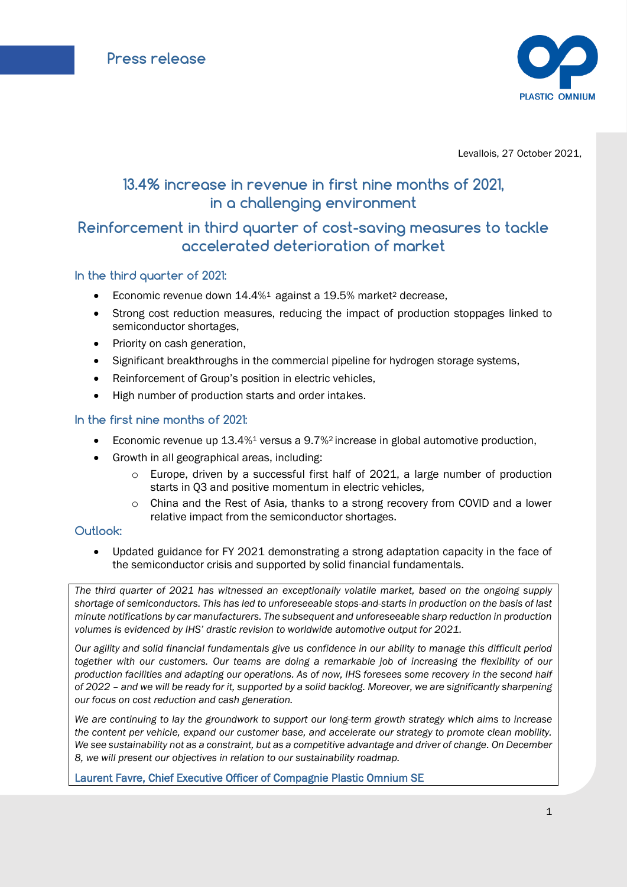

Levallois, 27 October 2021,

# **13.4% increase in revenue in first nine months of 2021, in a challenging environment**

## **Reinforcement in third quarter of cost-saving measures to tackle accelerated deterioration of market**

## **In the third quarter of 2021:**

- Economic revenue down  $14.4\%$ <sup>1</sup> against a 19.5% market<sup>2</sup> decrease.
- Strong cost reduction measures, reducing the impact of production stoppages linked to semiconductor shortages,
- Priority on cash generation,
- Significant breakthroughs in the commercial pipeline for hydrogen storage systems,
- Reinforcement of Group's position in electric vehicles,
- High number of production starts and order intakes.

#### $1 - 1$  dans tous les pays où une telle offre est disponible of  $\mathcal{L}$ **In the first nine months of 2021:**

- Economic revenue up 13.4%<sup>1</sup> versus a 9.7%<sup>2</sup> increase in global automotive production,
- Growth in all geographical areas, including:
	- o Europe, driven by a successful first half of 2021, a large number of production starts in Q3 and positive momentum in electric vehicles,
	- o China and the Rest of Asia, thanks to a strong recovery from COVID and a lower relative impact from the semiconductor shortages.

## **Outlook:**

 Updated guidance for FY 2021 demonstrating a strong adaptation capacity in the face of the semiconductor crisis and supported by solid financial fundamentals.

*The third quarter of 2021 has witnessed an exceptionally volatile market, based on the ongoing supply shortage of semiconductors. This has led to unforeseeable stops-and-starts in production on the basis of last minute notifications by car manufacturers. The subsequent and unforeseeable sharp reduction in production volumes is evidenced by IHS' drastic revision to worldwide automotive output for 2021.* 

*Our agility and solid financial fundamentals give us confidence in our ability to manage this difficult period together with our customers. Our teams are doing a remarkable job of increasing the flexibility of our production facilities and adapting our operations. As of now, IHS foresees some recovery in the second half of 2022 – and we will be ready for it, supported by a solid backlog. Moreover, we are significantly sharpening our focus on cost reduction and cash generation.*

*We are continuing to lay the groundwork to support our long-term growth strategy which aims to increase the content per vehicle, expand our customer base, and accelerate our strategy to promote clean mobility. We see sustainability not as a constraint, but as a competitive advantage and driver of change. On December 8, we will present our objectives in relation to our sustainability roadmap.*

Laurent Favre, Chief Executive Officer of Compagnie Plastic Omnium SE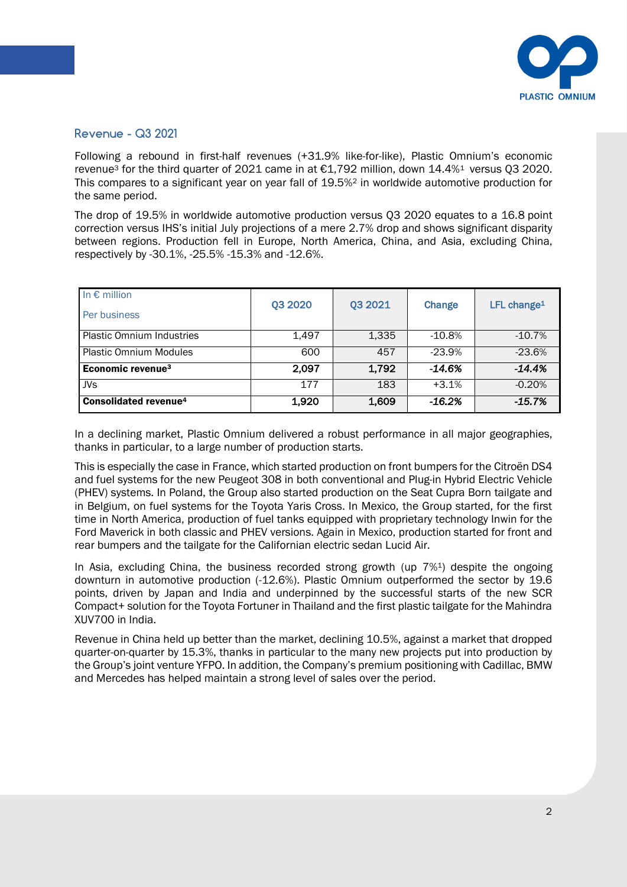

#### **Revenue - Q3 2021**

Following a rebound in first-half revenues (+31.9% like-for-like), Plastic Omnium's economic revenue<sup>3</sup> for the third quarter of 2021 came in at €1,792 million, down 14.4%<sup>1</sup> versus 03 2020. This compares to a significant year on year fall of 19.5%<sup>2</sup> in worldwide automotive production for the same period.

The drop of 19.5% in worldwide automotive production versus Q3 2020 equates to a 16.8 point correction versus IHS's initial July projections of a mere 2.7% drop and shows significant disparity between regions. Production fell in Europe, North America, China, and Asia, excluding China, respectively by -30.1%, -25.5% -15.3% and -12.6%.

| In $\epsilon$ million<br>Per business | Q3 2020 | Q3 2021 | Change   | LFL change <sup>1</sup> |
|---------------------------------------|---------|---------|----------|-------------------------|
|                                       |         |         |          |                         |
| <b>Plastic Omnium Industries</b>      | 1,497   | 1,335   | $-10.8%$ | $-10.7%$                |
| <b>Plastic Omnium Modules</b>         | 600     | 457     | $-23.9%$ | $-23.6%$                |
| Economic revenue <sup>3</sup>         | 2,097   | 1,792   | -14.6%   | $-14.4%$                |
| JVs                                   | 177     | 183     | $+3.1%$  | $-0.20%$                |
| Consolidated revenue <sup>4</sup>     | 1,920   | 1,609   | -16.2%   | $-15.7%$                |

In a declining market, Plastic Omnium delivered a robust performance in all major geographies, thanks in particular, to a large number of production starts.

This is especially the case in France, which started production on front bumpers for the Citroën DS4 and fuel systems for the new Peugeot 308 in both conventional and Plug-in Hybrid Electric Vehicle (PHEV) systems. In Poland, the Group also started production on the Seat Cupra Born tailgate and in Belgium, on fuel systems for the Toyota Yaris Cross. In Mexico, the Group started, for the first time in North America, production of fuel tanks equipped with proprietary technology Inwin for the Ford Maverick in both classic and PHEV versions. Again in Mexico, production started for front and rear bumpers and the tailgate for the Californian electric sedan Lucid Air.

In Asia, excluding China, the business recorded strong growth (up 7%1) despite the ongoing downturn in automotive production (-12.6%). Plastic Omnium outperformed the sector by 19.6 points, driven by Japan and India and underpinned by the successful starts of the new SCR Compact+ solution for the Toyota Fortuner in Thailand and the first plastic tailgate for the Mahindra XUV700 in India.

Revenue in China held up better than the market, declining 10.5%, against a market that dropped quarter-on-quarter by 15.3%, thanks in particular to the many new projects put into production by the Group's joint venture YFPO. In addition, the Company's premium positioning with Cadillac, BMW and Mercedes has helped maintain a strong level of sales over the period.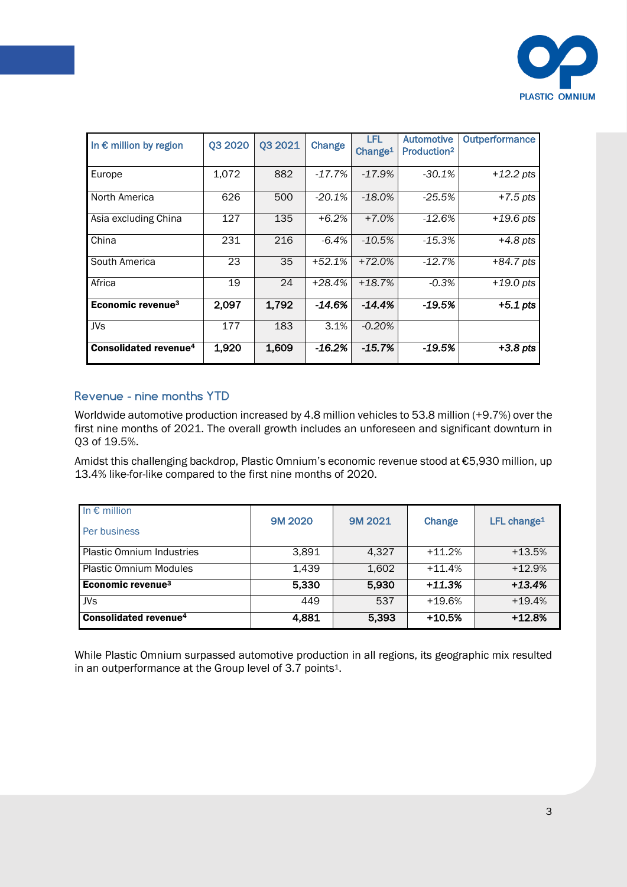

| In $\epsilon$ million by region   | Q3 2020 | Q3 2021 | Change    | LFL<br>Change <sup>1</sup> | <b>Automotive</b><br>Production <sup>2</sup> | <b>Outperformance</b> |
|-----------------------------------|---------|---------|-----------|----------------------------|----------------------------------------------|-----------------------|
| Europe                            | 1,072   | 882     | $-17.7\%$ | $-17.9%$                   | $-30.1%$                                     | $+12.2$ pts           |
| North America                     | 626     | 500     | $-20.1%$  | $-18.0%$                   | $-25.5%$                                     | $+7.5$ pts            |
| Asia excluding China              | 127     | 135     | $+6.2%$   | $+7.0%$                    | $-12.6%$                                     | $+19.6$ pts           |
| China                             | 231     | 216     | $-6.4%$   | $-10.5%$                   | $-15.3%$                                     | $+4.8$ pts            |
| South America                     | 23      | 35      | $+52.1%$  | $+72.0%$                   | $-12.7%$                                     | $+84.7 \text{ pts}$   |
| Africa                            | 19      | 24      | $+28.4%$  | $+18.7%$                   | $-0.3%$                                      | $+19.0$ pts           |
| Economic revenue <sup>3</sup>     | 2,097   | 1,792   | $-14.6\%$ | -14.4%                     | -19.5%                                       | $+5.1$ pts            |
| <b>JVs</b>                        | 177     | 183     | 3.1%      | $-0.20%$                   |                                              |                       |
| Consolidated revenue <sup>4</sup> | 1,920   | 1,609   | $-16.2\%$ | $-15.7%$                   | -19.5%                                       | $+3.8$ pts            |

## **Revenue - nine months YTD**

first nine months of 2021. The overall growth includes an unforeseen and significant downturn in Worldwide automotive production increased by 4.8 million vehicles to 53.8 million (+9.7%) over the Q3 of 19.5%.

Amidst this challenging backdrop, Plastic Omnium's economic revenue stood at €5,930 million, up 13.4% like-for-like compared to the first nine months of 2020.

| In $\epsilon$ million<br>Per business | <b>9M 2020</b> | 9M 2021 | Change   | LFL change <sup>1</sup> |
|---------------------------------------|----------------|---------|----------|-------------------------|
| <b>Plastic Omnium Industries</b>      | 3,891          | 4.327   | $+11.2%$ | $+13.5\%$               |
|                                       |                |         |          |                         |
| <b>Plastic Omnium Modules</b>         | 1.439          | 1,602   | $+11.4%$ | $+12.9%$                |
| Economic revenue <sup>3</sup>         | 5,330          | 5,930   | $+11.3%$ | $+13.4%$                |
| JVs                                   | 449            | 537     | $+19.6%$ | $+19.4%$                |
| Consolidated revenue <sup>4</sup>     | 4,881          | 5,393   | +10.5%   | $+12.8%$                |

While Plastic Omnium surpassed automotive production in all regions, its geographic mix resulted in an outperformance at the Group level of 3.7 points<sup>1</sup>.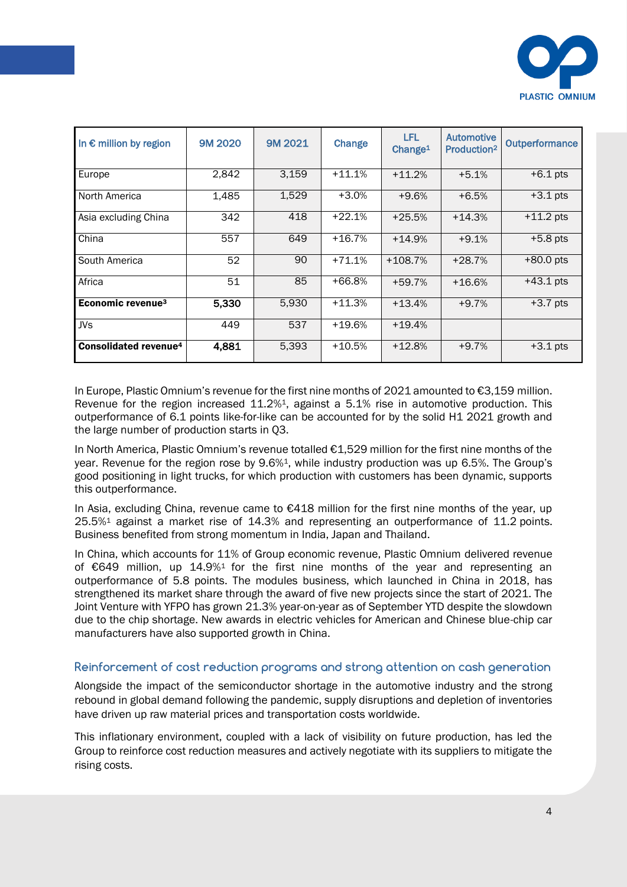

| In $\epsilon$ million by region   | 9M 2020 | 9M 2021 | Change   | LFL<br>Change <sup>1</sup> | <b>Automotive</b><br>Production <sup>2</sup> | <b>Outperformance</b> |
|-----------------------------------|---------|---------|----------|----------------------------|----------------------------------------------|-----------------------|
| Europe                            | 2,842   | 3,159   | $+11.1%$ | $+11.2%$                   | $+5.1%$                                      | $+6.1$ pts            |
| North America                     | 1,485   | 1,529   | $+3.0%$  | $+9.6%$                    | $+6.5%$                                      | $+3.1$ pts            |
| Asia excluding China              | 342     | 418     | $+22.1%$ | $+25.5%$                   | $+14.3%$                                     | $+11.2$ pts           |
| China                             | 557     | 649     | $+16.7%$ | $+14.9%$                   | $+9.1%$                                      | $+5.8$ pts            |
| South America                     | 52      | 90      | $+71.1%$ | $+108.7%$                  | $+28.7%$                                     | $+80.0$ pts           |
| Africa                            | 51      | 85      | $+66.8%$ | $+59.7%$                   | $+16.6%$                                     | $+43.1$ pts           |
| Economic revenue <sup>3</sup>     | 5,330   | 5,930   | $+11.3%$ | $+13.4%$                   | $+9.7%$                                      | $+3.7$ pts            |
| JVs                               | 449     | 537     | $+19.6%$ | $+19.4%$                   |                                              |                       |
| Consolidated revenue <sup>4</sup> | 4,881   | 5,393   | $+10.5%$ | $+12.8%$                   | $+9.7%$                                      | $+3.1$ pts            |

the large number of production starts in Q3. In Europe, Plastic Omnium's revenue for the first nine months of 2021 amounted to €3,159 million. Revenue for the region increased  $11.2\%$ <sup>1</sup>, against a 5.1% rise in automotive production. This outperformance of 6.1 points like-for-like can be accounted for by the solid H1 2021 growth and

In North America, Plastic Omnium's revenue totalled €1,529 million for the first nine months of the year. Revenue for the region rose by 9.6%1, while industry production was up 6.5%. The Group's good positioning in light trucks, for which production with customers has been dynamic, supports this outperformance.

In Asia, excluding China, revenue came to €418 million for the first nine months of the year, up 25.5%<sup>1</sup> against a market rise of 14.3% and representing an outperformance of 11.2 points. Business benefited from strong momentum in India, Japan and Thailand.

In China, which accounts for 11% of Group economic revenue, Plastic Omnium delivered revenue of  $\epsilon$ 649 million, up 14.9%<sup>1</sup> for the first nine months of the year and representing an outperformance of 5.8 points. The modules business, which launched in China in 2018, has strengthened its market share through the award of five new projects since the start of 2021. The Joint Venture with YFPO has grown 21.3% year-on-year as of September YTD despite the slowdown due to the chip shortage. New awards in electric vehicles for American and Chinese blue-chip car manufacturers have also supported growth in China.

## **Reinforcement of cost reduction programs and strong attention on cash generation**

Alongside the impact of the semiconductor shortage in the automotive industry and the strong rebound in global demand following the pandemic, supply disruptions and depletion of inventories have driven up raw material prices and transportation costs worldwide.

This inflationary environment, coupled with a lack of visibility on future production, has led the Group to reinforce cost reduction measures and actively negotiate with its suppliers to mitigate the rising costs.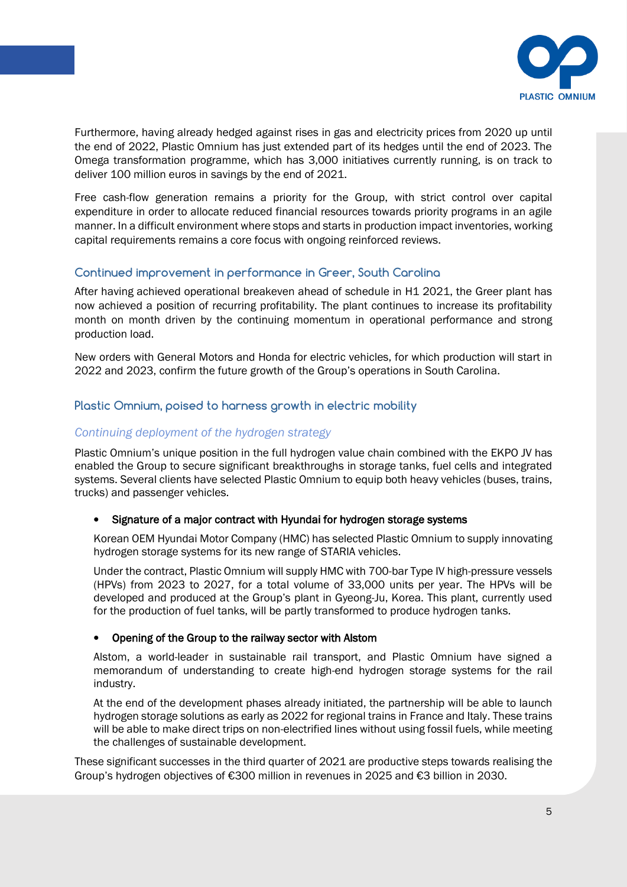

Furthermore, having already hedged against rises in gas and electricity prices from 2020 up until the end of 2022, Plastic Omnium has just extended part of its hedges until the end of 2023. The Omega transformation programme, which has 3,000 initiatives currently running, is on track to deliver 100 million euros in savings by the end of 2021.

Free cash-flow generation remains a priority for the Group, with strict control over capital expenditure in order to allocate reduced financial resources towards priority programs in an agile manner. In a difficult environment where stops and starts in production impact inventories, working capital requirements remains a core focus with ongoing reinforced reviews.

## **Continued improvement in performance in Greer, South Carolina**

After having achieved operational breakeven ahead of schedule in H1 2021, the Greer plant has now achieved a position of recurring profitability. The plant continues to increase its profitability month on month driven by the continuing momentum in operational performance and strong production load.

New orders with General Motors and Honda for electric vehicles, for which production will start in 2022 and 2023, confirm the future growth of the Group's operations in South Carolina.

## **Plastic Omnium, poised to harness growth in electric mobility**

## Continuing deployment of the hydrogen strategy

Plastic Omnium's unique position in the full hydrogen value chain combined with the EKPO JV has enabled the Group to secure significant breakthroughs in storage tanks, fuel cells and integrated systems. Several clients have selected Plastic Omnium to equip both heavy vehicles (buses, trains, trucks) and passenger vehicles.

#### • Signature of a major contract with Hyundai for hydrogen storage systems

Korean OEM Hyundai Motor Company (HMC) has selected Plastic Omnium to supply innovating hydrogen storage systems for its new range of STARIA vehicles.

Under the contract, Plastic Omnium will supply HMC with 700-bar Type IV high-pressure vessels (HPVs) from 2023 to 2027, for a total volume of 33,000 units per year. The HPVs will be developed and produced at the Group's plant in Gyeong-Ju, Korea. This plant, currently used for the production of fuel tanks, will be partly transformed to produce hydrogen tanks.

#### Opening of the Group to the railway sector with Alstom

Alstom, a world-leader in sustainable rail transport, and Plastic Omnium have signed a memorandum of understanding to create high-end hydrogen storage systems for the rail industry.

At the end of the development phases already initiated, the partnership will be able to launch hydrogen storage solutions as early as 2022 for regional trains in France and Italy. These trains will be able to make direct trips on non-electrified lines without using fossil fuels, while meeting the challenges of sustainable development.

These significant successes in the third quarter of 2021 are productive steps towards realising the Group's hydrogen objectives of €300 million in revenues in 2025 and €3 billion in 2030.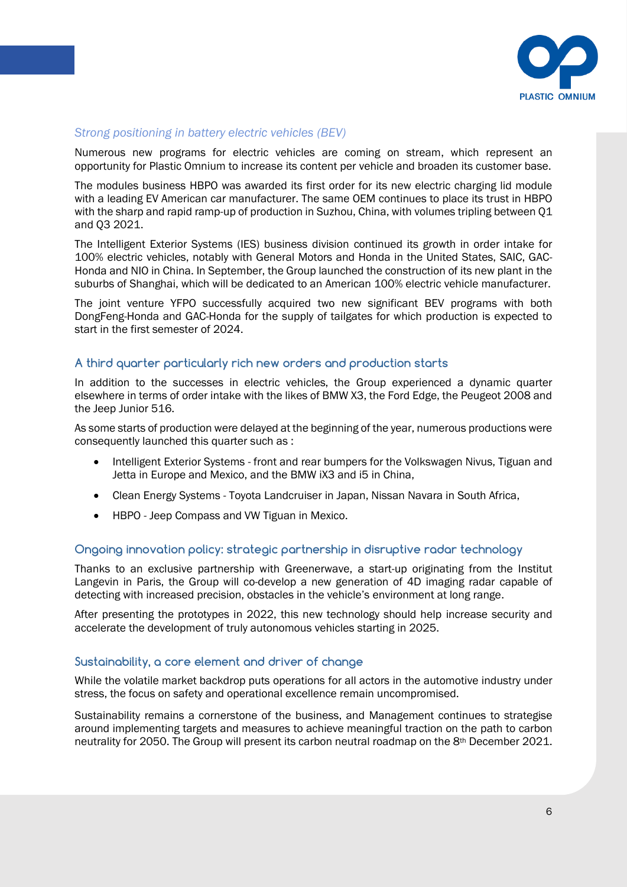

## *Strong positioning in battery electric vehicles (BEV)*

Numerous new programs for electric vehicles are coming on stream, which represent an opportunity for Plastic Omnium to increase its content per vehicle and broaden its customer base.

The modules business HBPO was awarded its first order for its new electric charging lid module with a leading EV American car manufacturer. The same OEM continues to place its trust in HBPO with the sharp and rapid ramp-up of production in Suzhou, China, with volumes tripling between Q1 and Q3 2021.

The Intelligent Exterior Systems (IES) business division continued its growth in order intake for 100% electric vehicles, notably with General Motors and Honda in the United States, SAIC, GAC-Honda and NIO in China. In September, the Group launched the construction of its new plant in the suburbs of Shanghai, which will be dedicated to an American 100% electric vehicle manufacturer.

The joint venture YFPO successfully acquired two new significant BEV programs with both DongFeng-Honda and GAC-Honda for the supply of tailgates for which production is expected to start in the first semester of 2024.

#### **A third quarter particularly rich new orders and production starts**

In addition to the successes in electric vehicles, the Group experienced a dynamic quarter elsewhere in terms of order intake with the likes of BMW X3, the Ford Edge, the Peugeot 2008 and the Jeep Junior 516.

As some starts of production were delayed at the beginning of the year, numerous productions were consequently launched this quarter such as :

- Intelligent Exterior Systems front and rear bumpers for the Volkswagen Nivus, Tiguan and Jetta in Europe and Mexico, and the BMW iX3 and i5 in China,
- Clean Energy Systems Toyota Landcruiser in Japan, Nissan Navara in South Africa,
- HBPO Jeep Compass and VW Tiguan in Mexico.

#### **Ongoing innovation policy: strategic partnership in disruptive radar technology**

Thanks to an exclusive partnership with Greenerwave, a start-up originating from the Institut Langevin in Paris, the Group will co-develop a new generation of 4D imaging radar capable of detecting with increased precision, obstacles in the vehicle's environment at long range.

After presenting the prototypes in 2022, this new technology should help increase security and accelerate the development of truly autonomous vehicles starting in 2025.

#### **Sustainability, a core element and driver of change**

While the volatile market backdrop puts operations for all actors in the automotive industry under stress, the focus on safety and operational excellence remain uncompromised.

Sustainability remains a cornerstone of the business, and Management continues to strategise around implementing targets and measures to achieve meaningful traction on the path to carbon neutrality for 2050. The Group will present its carbon neutral roadmap on the 8th December 2021.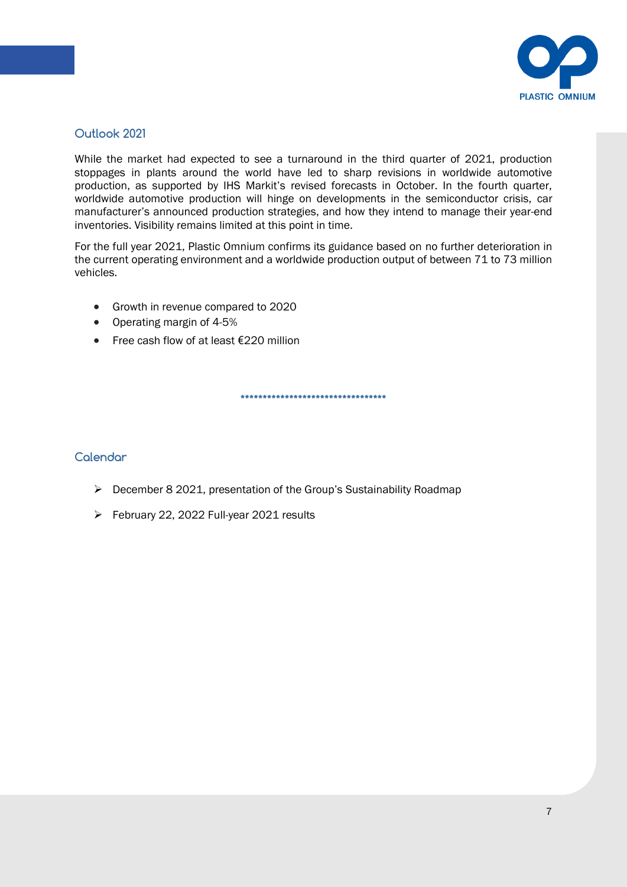

## **Outlook 2021**

While the market had expected to see a turnaround in the third quarter of 2021, production stoppages in plants around the world have led to sharp revisions in worldwide automotive production, as supported by IHS Markit's revised forecasts in October. In the fourth quarter, worldwide automotive production will hinge on developments in the semiconductor crisis, car manufacturer's announced production strategies, and how they intend to manage their year-end inventories. Visibility remains limited at this point in time.

For the full year 2021, Plastic Omnium confirms its guidance based on no further deterioration in the current operating environment and a worldwide production output of between 71 to 73 million vehicles.

- Growth in revenue compared to 2020
- Operating margin of 4-5%
- Free cash flow of at least €220 million

**\*\*\*\*\*\*\*\*\*\*\*\*\*\*\*\*\*\*\*\*\*\*\*\*\*\*\*\*\*\*\*\*\***

## **Calendar**

- December 8 2021, presentation of the Group's Sustainability Roadmap
- February 22, 2022 Full-year 2021 results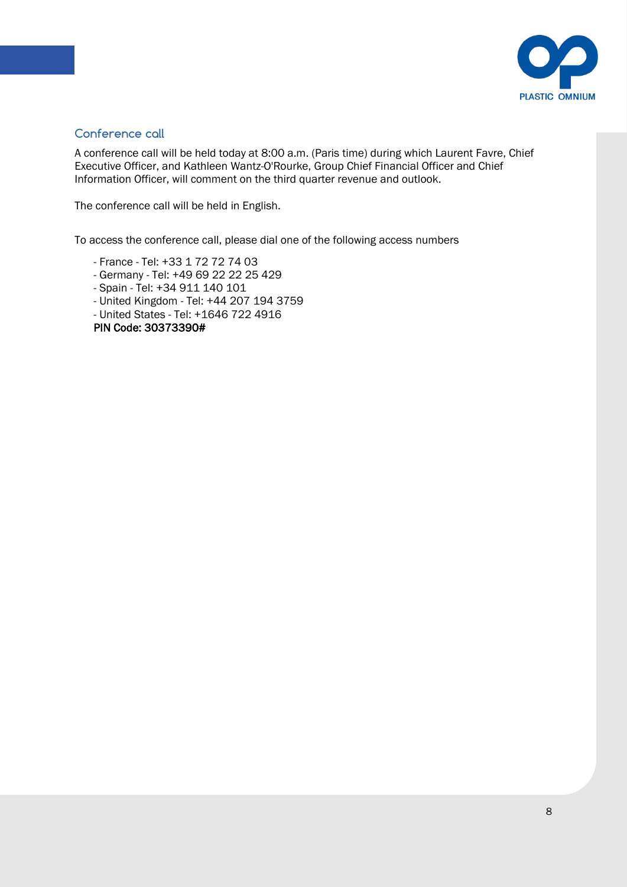

## **Conference call**

A conference call will be held today at 8:00 a.m. (Paris time) during which Laurent Favre, Chief Executive Officer, and Kathleen Wantz-O'Rourke, Group Chief Financial Officer and Chief Information Officer, will comment on the third quarter revenue and outlook.

The conference call will be held in English.

To access the conference call, please dial one of the following access numbers

- France Tel: +33 1 72 72 74 03
- Germany Tel: +49 69 22 22 25 429
- Spain Tel: +34 911 140 101
- United Kingdom Tel: +44 207 194 3759
- United States Tel: +1646 722 4916

PIN Code: 30373390#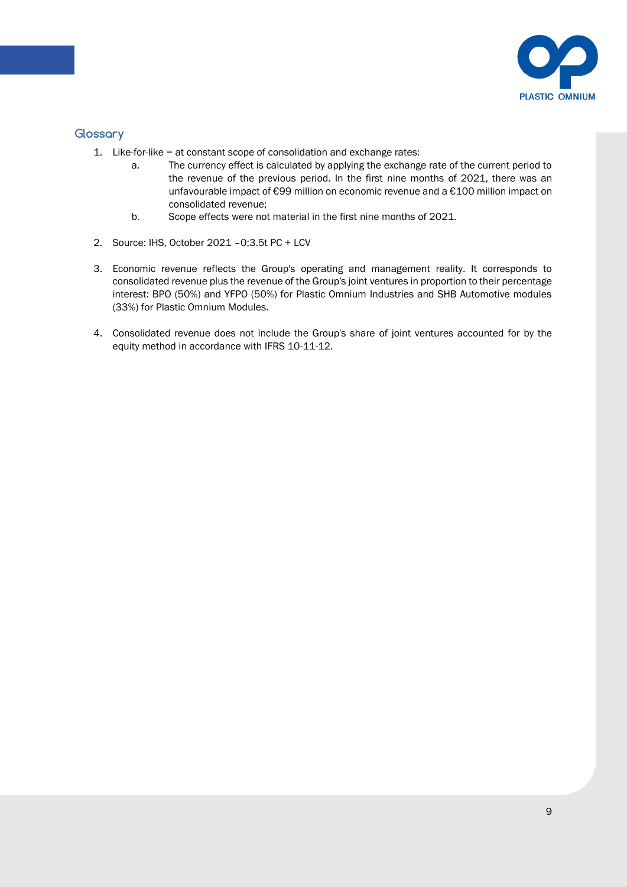

#### **Glossary**

- 1. Like-for-like = at constant scope of consolidation and exchange rates:
	- a. The currency effect is calculated by applying the exchange rate of the current period to the revenue of the previous period. In the first nine months of 2021, there was an unfavourable impact of €99 million on economic revenue and a €100 million impact on consolidated revenue;
	- b. Scope effects were not material in the first nine months of 2021.
- 2. Source: IHS, October 2021 –0;3.5t PC + LCV
- 3. Economic revenue reflects the Group's operating and management reality. It corresponds to consolidated revenue plus the revenue of the Group's joint ventures in proportion to their percentage interest: BPO (50%) and YFPO (50%) for Plastic Omnium Industries and SHB Automotive modules (33%) for Plastic Omnium Modules.
- 4. Consolidated revenue does not include the Group's share of joint ventures accounted for by the equity method in accordance with IFRS 10-11-12.